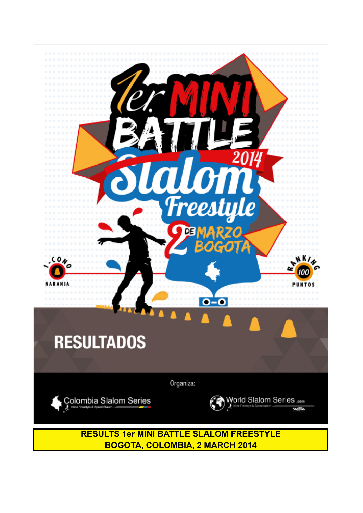